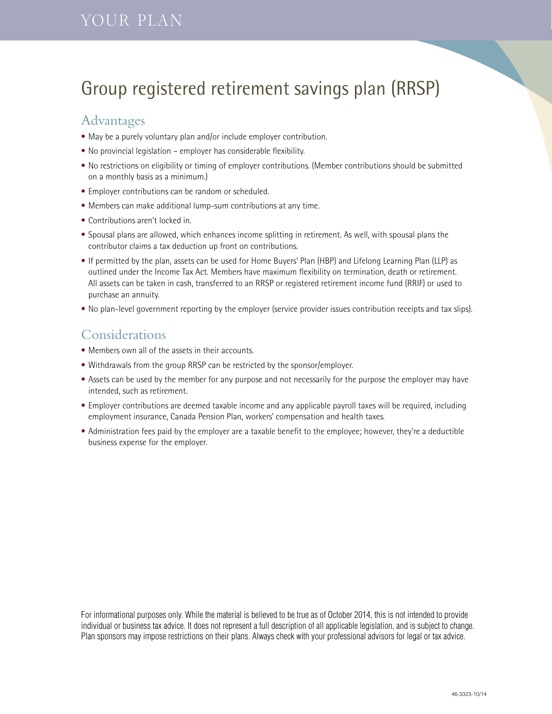### YOUR PLAN

# Group registered retirement savings plan (RRSP)

### Advantages

- May be a purely voluntary plan and/or include employer contribution.
- No provincial legislation employer has considerable flexibility.
- No restrictions on eligibility or timing of employer contributions. (Member contributions should be submitted on a monthly basis as a minimum.)
- Employer contributions can be random or scheduled.
- Members can make additional lump-sum contributions at any time.
- Contributions aren't locked in.
- Spousal plans are allowed, which enhances income splitting in retirement. As well, with spousal plans the contributor claims a tax deduction up front on contributions.
- If permitted by the plan, assets can be used for Home Buyers' Plan (HBP) and Lifelong Learning Plan (LLP) as outlined under the Income Tax Act. Members have maximum flexibility on termination, death or retirement. All assets can be taken in cash, transferred to an RRSP or registered retirement income fund (RRIF) or used to purchase an annuity.
- No plan-level government reporting by the employer (service provider issues contribution receipts and tax slips).

#### Considerations

- Members own all of the assets in their accounts.
- Withdrawals from the group RRSP can be restricted by the sponsor/employer.
- Assets can be used by the member for any purpose and not necessarily for the purpose the employer may have intended, such as retirement.
- Employer contributions are deemed taxable income and any applicable payroll taxes will be required, including employment insurance, Canada Pension Plan, workers' compensation and health taxes.
- Administration fees paid by the employer are a taxable benefit to the employee; however, they're a deductible business expense for the employer.

For informational purposes only. While the material is believed to be true as of October 2014, this is not intended to provide individual or business tax advice. It does not represent a full description of all applicable legislation, and is subject to change. Plan sponsors may impose restrictions on their plans. Always check with your professional advisors for legal or tax advice.